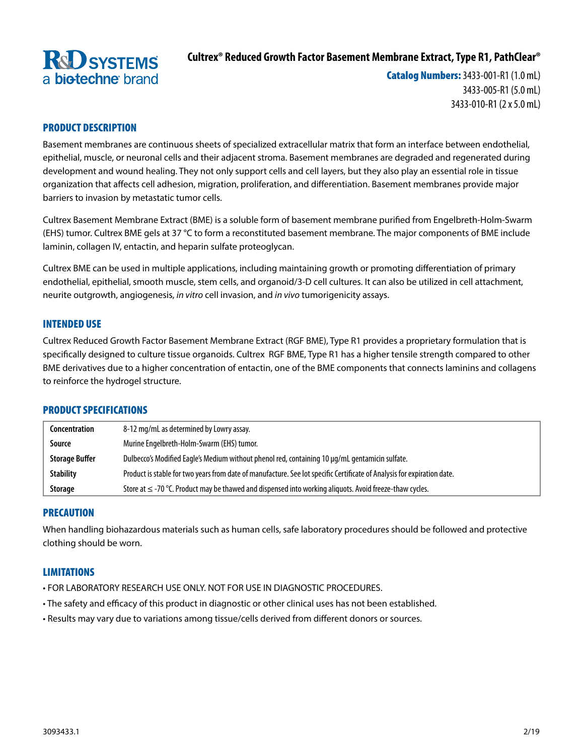

# **Cultrex® Reduced Growth Factor Basement Membrane Extract, Type R1, PathClear®**

Catalog Numbers: 3433-001-R1 (1.0 mL) 3433-005-R1 (5.0 mL) 3433-010-R1 (2 x 5.0 mL)

# PRODUCT DESCRIPTION

Basement membranes are continuous sheets of specialized extracellular matrix that form an interface between endothelial, epithelial, muscle, or neuronal cells and their adjacent stroma. Basement membranes are degraded and regenerated during development and wound healing. They not only support cells and cell layers, but they also play an essential role in tissue organization that affects cell adhesion, migration, proliferation, and differentiation. Basement membranes provide major barriers to invasion by metastatic tumor cells.

Cultrex Basement Membrane Extract (BME) is a soluble form of basement membrane purified from Engelbreth-Holm-Swarm (EHS) tumor. Cultrex BME gels at 37 °C to form a reconstituted basement membrane. The major components of BME include laminin, collagen IV, entactin, and heparin sulfate proteoglycan.

Cultrex BME can be used in multiple applications, including maintaining growth or promoting differentiation of primary endothelial, epithelial, smooth muscle, stem cells, and organoid/3-D cell cultures. It can also be utilized in cell attachment, neurite outgrowth, angiogenesis, *in vitro* cell invasion, and *in vivo* tumorigenicity assays.

# INTENDED USE

Cultrex Reduced Growth Factor Basement Membrane Extract (RGF BME), Type R1 provides a proprietary formulation that is specifically designed to culture tissue organoids. Cultrex RGF BME, Type R1 has a higher tensile strength compared to other BME derivatives due to a higher concentration of entactin, one of the BME components that connects laminins and collagens to reinforce the hydrogel structure.

# PRODUCT SPECIFICATIONS

| Concentration         | 8-12 mg/mL as determined by Lowry assay.                                                                                |
|-----------------------|-------------------------------------------------------------------------------------------------------------------------|
| Source                | Murine Engelbreth-Holm-Swarm (EHS) tumor.                                                                               |
| <b>Storage Buffer</b> | Dulbecco's Modified Eagle's Medium without phenol red, containing 10 µg/mL gentamicin sulfate.                          |
| <b>Stability</b>      | Product is stable for two years from date of manufacture. See lot specific Certificate of Analysis for expiration date. |
| <b>Storage</b>        | Store at $\leq$ -70 °C. Product may be thawed and dispensed into working aliguots. Avoid freeze-thaw cycles.            |

# PRECAUTION

When handling biohazardous materials such as human cells, safe laboratory procedures should be followed and protective clothing should be worn.

# **LIMITATIONS**

- FOR LABORATORY RESEARCH USE ONLY. NOT FOR USE IN DIAGNOSTIC PROCEDURES.
- The safety and efficacy of this product in diagnostic or other clinical uses has not been established.
- Results may vary due to variations among tissue/cells derived from different donors or sources.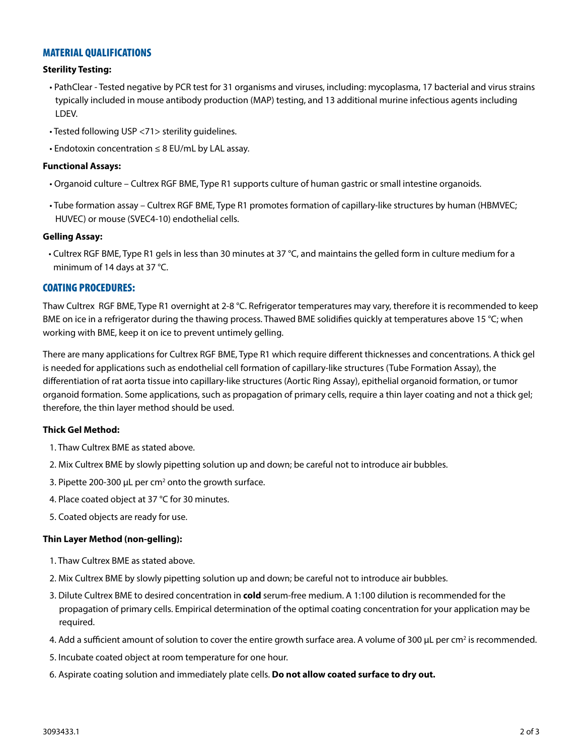# MATERIAL QUALIFICATIONS

#### **Sterility Testing:**

- PathClear Tested negative by PCR test for 31 organisms and viruses, including: mycoplasma, 17 bacterial and virus strains typically included in mouse antibody production (MAP) testing, and 13 additional murine infectious agents including LDEV.
- Tested following USP <71> sterility guidelines.
- Endotoxin concentration ≤ 8 EU/mL by LAL assay.

#### **Functional Assays:**

- Organoid culture Cultrex RGF BME, Type R1 supports culture of human gastric or small intestine organoids.
- Tube formation assay Cultrex RGF BME, Type R1 promotes formation of capillary-like structures by human (HBMVEC; HUVEC) or mouse (SVEC4-10) endothelial cells.

#### **Gelling Assay:**

• Cultrex RGF BME, Type R1 gels in less than 30 minutes at 37 °C, and maintains the gelled form in culture medium for a minimum of 14 days at 37 °C.

# COATING PROCEDURES:

Thaw Cultrex RGF BME, Type R1 overnight at 2-8 °C. Refrigerator temperatures may vary, therefore it is recommended to keep BME on ice in a refrigerator during the thawing process. Thawed BME solidifies quickly at temperatures above 15 °C; when working with BME, keep it on ice to prevent untimely gelling.

There are many applications for Cultrex RGF BME, Type R1 which require different thicknesses and concentrations. A thick gel is needed for applications such as endothelial cell formation of capillary-like structures (Tube Formation Assay), the differentiation of rat aorta tissue into capillary-like structures (Aortic Ring Assay), epithelial organoid formation, or tumor organoid formation. Some applications, such as propagation of primary cells, require a thin layer coating and not a thick gel; therefore, the thin layer method should be used.

# **Thick Gel Method:**

- 1. Thaw Cultrex BME as stated above.
- 2. Mix Cultrex BME by slowly pipetting solution up and down; be careful not to introduce air bubbles.
- 3. Pipette 200-300  $\mu$ L per cm<sup>2</sup> onto the growth surface.
- 4. Place coated object at 37 °C for 30 minutes.
- 5. Coated objects are ready for use.

# **Thin Layer Method (non-gelling):**

- 1. Thaw Cultrex BME as stated above.
- 2. Mix Cultrex BME by slowly pipetting solution up and down; be careful not to introduce air bubbles.
- 3. Dilute Cultrex BME to desired concentration in **cold** serum-free medium. A 1:100 dilution is recommended for the propagation of primary cells. Empirical determination of the optimal coating concentration for your application may be required.
- 4. Add a sufficient amount of solution to cover the entire growth surface area. A volume of 300 µL per cm<sup>2</sup> is recommended.
- 5. Incubate coated object at room temperature for one hour.
- 6. Aspirate coating solution and immediately plate cells. **Do not allow coated surface to dry out.**